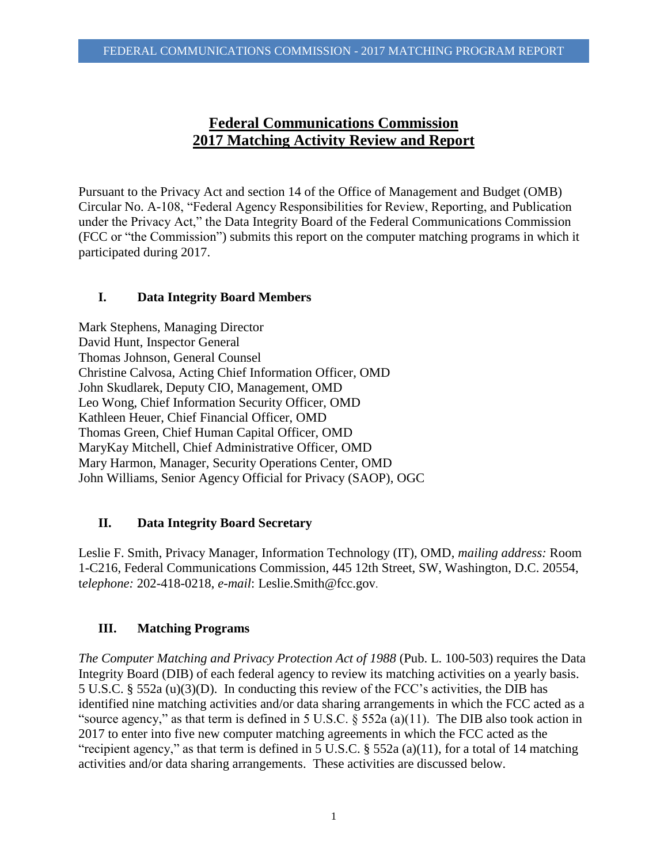# **Federal Communications Commission 2017 Matching Activity Review and Report**

Pursuant to the Privacy Act and section 14 of the Office of Management and Budget (OMB) Circular No. A-108, "Federal Agency Responsibilities for Review, Reporting, and Publication under the Privacy Act," the Data Integrity Board of the Federal Communications Commission (FCC or "the Commission") submits this report on the computer matching programs in which it participated during 2017.

# **I. Data Integrity Board Members**

Mark Stephens, Managing Director David Hunt, Inspector General Thomas Johnson, General Counsel Christine Calvosa, Acting Chief Information Officer, OMD John Skudlarek, Deputy CIO, Management, OMD Leo Wong, Chief Information Security Officer, OMD Kathleen Heuer, Chief Financial Officer, OMD Thomas Green, Chief Human Capital Officer, OMD MaryKay Mitchell, Chief Administrative Officer, OMD Mary Harmon, Manager, Security Operations Center, OMD John Williams, Senior Agency Official for Privacy (SAOP), OGC

# **II. Data Integrity Board Secretary**

Leslie F. Smith, Privacy Manager, Information Technology (IT), OMD, *mailing address:* Room 1-C216, Federal Communications Commission, 445 12th Street, SW, Washington, D.C. 20554, t*elephone:* 202-418-0218, *e-mail*: Leslie.Smith@fcc.gov.

# **III. Matching Programs**

*The Computer Matching and Privacy Protection Act of 1988* (Pub. L. 100-503) requires the Data Integrity Board (DIB) of each federal agency to review its matching activities on a yearly basis. 5 U.S.C. § 552a (u)(3)(D). In conducting this review of the FCC's activities, the DIB has identified nine matching activities and/or data sharing arrangements in which the FCC acted as a "source agency," as that term is defined in 5 U.S.C. § 552a (a)(11). The DIB also took action in 2017 to enter into five new computer matching agreements in which the FCC acted as the "recipient agency," as that term is defined in 5 U.S.C. § 552a (a)(11), for a total of 14 matching activities and/or data sharing arrangements. These activities are discussed below.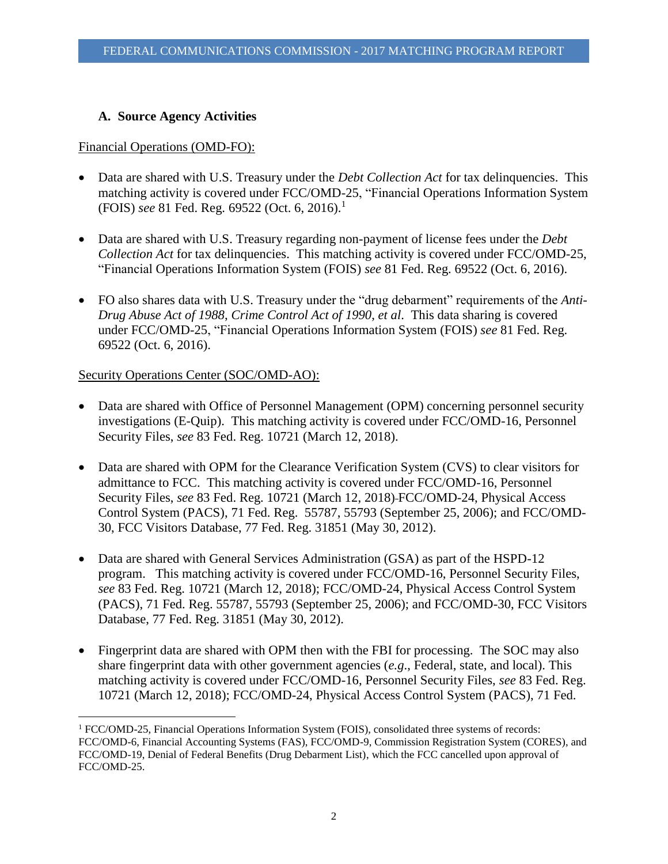## **A. Source Agency Activities**

#### Financial Operations (OMD-FO):

- Data are shared with U.S. Treasury under the *Debt Collection Act* for tax delinquencies. This matching activity is covered under FCC/OMD-25, "Financial Operations Information System (FOIS) *see* 81 Fed. Reg. 69522 (Oct. 6, 2016).<sup>1</sup>
- Data are shared with U.S. Treasury regarding non-payment of license fees under the *Debt Collection Act* for tax delinquencies. This matching activity is covered under FCC/OMD-25, "Financial Operations Information System (FOIS) *see* 81 Fed. Reg. 69522 (Oct. 6, 2016).
- FO also shares data with U.S. Treasury under the "drug debarment" requirements of the *Anti-Drug Abuse Act of 1988*, *Crime Control Act of 1990*, *et al*. This data sharing is covered under FCC/OMD-25, "Financial Operations Information System (FOIS) *see* 81 Fed. Reg. 69522 (Oct. 6, 2016).

### Security Operations Center (SOC/OMD-AO):

 $\overline{a}$ 

- Data are shared with Office of Personnel Management (OPM) concerning personnel security investigations (E-Quip). This matching activity is covered under FCC/OMD-16, Personnel Security Files, *see* 83 Fed. Reg. 10721 (March 12, 2018).
- Data are shared with OPM for the Clearance Verification System (CVS) to clear visitors for admittance to FCC. This matching activity is covered under FCC/OMD-16, Personnel Security Files, *see* 83 Fed. Reg. 10721 (March 12, 2018) FCC/OMD-24, Physical Access Control System (PACS), 71 Fed. Reg. 55787, 55793 (September 25, 2006); and FCC/OMD-30, FCC Visitors Database, 77 Fed. Reg. 31851 (May 30, 2012).
- Data are shared with General Services Administration (GSA) as part of the HSPD-12 program. This matching activity is covered under FCC/OMD-16, Personnel Security Files, *see* 83 Fed. Reg. 10721 (March 12, 2018); FCC/OMD-24, Physical Access Control System (PACS), 71 Fed. Reg. 55787, 55793 (September 25, 2006); and FCC/OMD-30, FCC Visitors Database, 77 Fed. Reg. 31851 (May 30, 2012).
- Fingerprint data are shared with OPM then with the FBI for processing. The SOC may also share fingerprint data with other government agencies (*e.g*., Federal, state, and local). This matching activity is covered under FCC/OMD-16, Personnel Security Files, *see* 83 Fed. Reg. 10721 (March 12, 2018); FCC/OMD-24, Physical Access Control System (PACS), 71 Fed.

<sup>1</sup> FCC/OMD-25, Financial Operations Information System (FOIS), consolidated three systems of records: FCC/OMD-6, Financial Accounting Systems (FAS), FCC/OMD-9, Commission Registration System (CORES), and FCC/OMD-19, Denial of Federal Benefits (Drug Debarment List), which the FCC cancelled upon approval of FCC/OMD-25.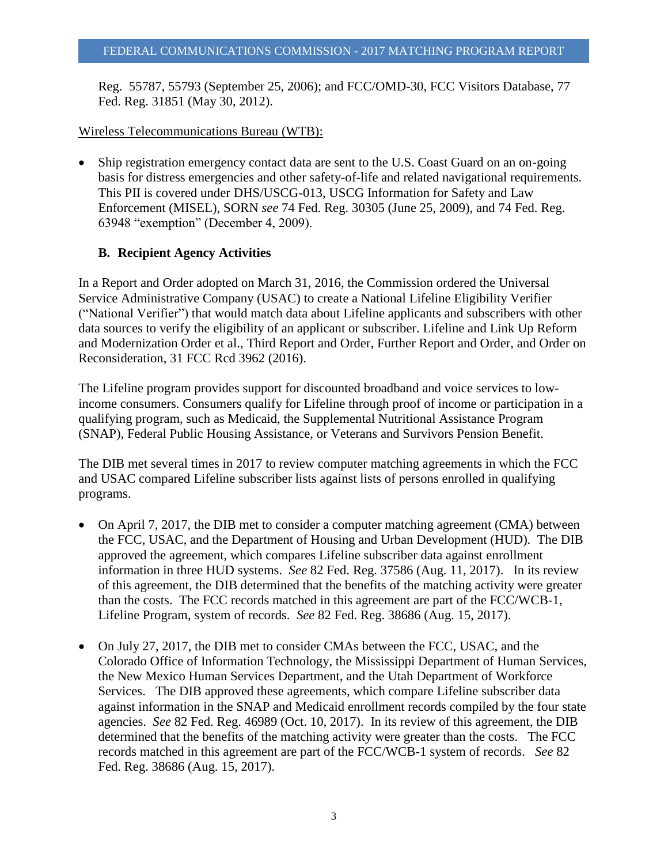Reg. 55787, 55793 (September 25, 2006); and FCC/OMD-30, FCC Visitors Database, 77 Fed. Reg. 31851 (May 30, 2012).

#### Wireless Telecommunications Bureau (WTB):

• Ship registration emergency contact data are sent to the U.S. Coast Guard on an on-going basis for distress emergencies and other safety-of-life and related navigational requirements. This PII is covered under DHS/USCG-013, USCG Information for Safety and Law Enforcement (MISEL), SORN *see* 74 Fed. Reg. 30305 (June 25, 2009), and 74 Fed. Reg. 63948 "exemption" (December 4, 2009).

### **B. Recipient Agency Activities**

In a Report and Order adopted on March 31, 2016, the Commission ordered the Universal Service Administrative Company (USAC) to create a National Lifeline Eligibility Verifier ("National Verifier") that would match data about Lifeline applicants and subscribers with other data sources to verify the eligibility of an applicant or subscriber. Lifeline and Link Up Reform and Modernization Order et al., Third Report and Order, Further Report and Order, and Order on Reconsideration, 31 FCC Rcd 3962 (2016).

The Lifeline program provides support for discounted broadband and voice services to lowincome consumers. Consumers qualify for Lifeline through proof of income or participation in a qualifying program, such as Medicaid, the Supplemental Nutritional Assistance Program (SNAP), Federal Public Housing Assistance, or Veterans and Survivors Pension Benefit.

The DIB met several times in 2017 to review computer matching agreements in which the FCC and USAC compared Lifeline subscriber lists against lists of persons enrolled in qualifying programs.

- On April 7, 2017, the DIB met to consider a computer matching agreement (CMA) between the FCC, USAC, and the Department of Housing and Urban Development (HUD). The DIB approved the agreement, which compares Lifeline subscriber data against enrollment information in three HUD systems. *See* 82 Fed. Reg. 37586 (Aug. 11, 2017). In its review of this agreement, the DIB determined that the benefits of the matching activity were greater than the costs. The FCC records matched in this agreement are part of the FCC/WCB-1, Lifeline Program, system of records. *See* 82 Fed. Reg. 38686 (Aug. 15, 2017).
- On July 27, 2017, the DIB met to consider CMAs between the FCC, USAC, and the Colorado Office of Information Technology, the Mississippi Department of Human Services, the New Mexico Human Services Department, and the Utah Department of Workforce Services. The DIB approved these agreements, which compare Lifeline subscriber data against information in the SNAP and Medicaid enrollment records compiled by the four state agencies. *See* 82 Fed. Reg. 46989 (Oct. 10, 2017). In its review of this agreement, the DIB determined that the benefits of the matching activity were greater than the costs. The FCC records matched in this agreement are part of the FCC/WCB-1 system of records. *See* 82 Fed. Reg. 38686 (Aug. 15, 2017).